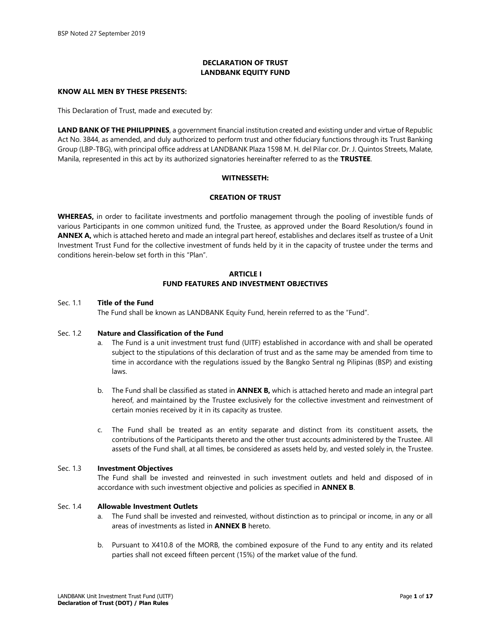# **DECLARATION OF TRUST LANDBANK EQUITY FUND**

## **KNOW ALL MEN BY THESE PRESENTS:**

This Declaration of Trust, made and executed by:

**LAND BANK OF THE PHILIPPINES**, a government financial institution created and existing under and virtue of Republic Act No. 3844, as amended, and duly authorized to perform trust and other fiduciary functions through its Trust Banking Group (LBP-TBG), with principal office address at LANDBANK Plaza 1598 M. H. del Pilar cor. Dr. J. Quintos Streets, Malate, Manila, represented in this act by its authorized signatories hereinafter referred to as the **TRUSTEE**.

## **WITNESSETH:**

#### **CREATION OF TRUST**

**WHEREAS,** in order to facilitate investments and portfolio management through the pooling of investible funds of various Participants in one common unitized fund, the Trustee, as approved under the Board Resolution/s found in **ANNEX A,** which is attached hereto and made an integral part hereof, establishes and declares itself as trustee of a Unit Investment Trust Fund for the collective investment of funds held by it in the capacity of trustee under the terms and conditions herein-below set forth in this "Plan".

## **ARTICLE I FUND FEATURES AND INVESTMENT OBJECTIVES**

#### Sec. 1.1 **Title of the Fund**

The Fund shall be known as LANDBANK Equity Fund, herein referred to as the "Fund".

#### Sec. 1.2 **Nature and Classification of the Fund**

- a. The Fund is a unit investment trust fund (UITF) established in accordance with and shall be operated subject to the stipulations of this declaration of trust and as the same may be amended from time to time in accordance with the regulations issued by the Bangko Sentral ng Pilipinas (BSP) and existing laws.
- b. The Fund shall be classified as stated in **ANNEX B,** which is attached hereto and made an integral part hereof, and maintained by the Trustee exclusively for the collective investment and reinvestment of certain monies received by it in its capacity as trustee.
- c. The Fund shall be treated as an entity separate and distinct from its constituent assets, the contributions of the Participants thereto and the other trust accounts administered by the Trustee. All assets of the Fund shall, at all times, be considered as assets held by, and vested solely in, the Trustee.

## Sec. 1.3 **Investment Objectives**

The Fund shall be invested and reinvested in such investment outlets and held and disposed of in accordance with such investment objective and policies as specified in **ANNEX B**.

# Sec. 1.4 **Allowable Investment Outlets**

- a. The Fund shall be invested and reinvested, without distinction as to principal or income, in any or all areas of investments as listed in **ANNEX B** hereto.
- b. Pursuant to X410.8 of the MORB, the combined exposure of the Fund to any entity and its related parties shall not exceed fifteen percent (15%) of the market value of the fund.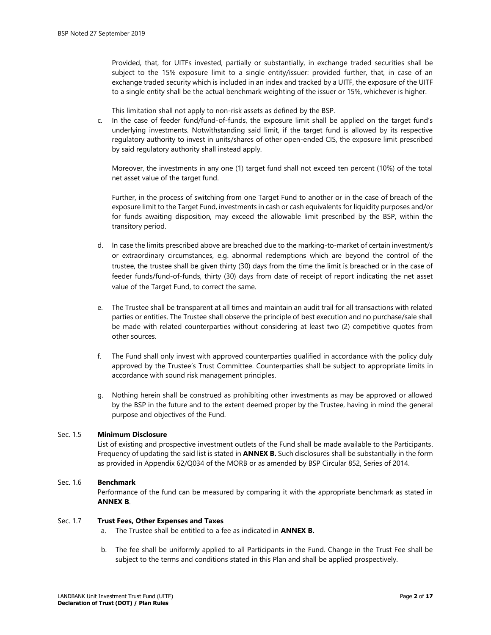Provided, that, for UITFs invested, partially or substantially, in exchange traded securities shall be subject to the 15% exposure limit to a single entity/issuer: provided further, that, in case of an exchange traded security which is included in an index and tracked by a UITF, the exposure of the UITF to a single entity shall be the actual benchmark weighting of the issuer or 15%, whichever is higher.

This limitation shall not apply to non-risk assets as defined by the BSP.

c. In the case of feeder fund/fund-of-funds, the exposure limit shall be applied on the target fund's underlying investments. Notwithstanding said limit, if the target fund is allowed by its respective regulatory authority to invest in units/shares of other open-ended CIS, the exposure limit prescribed by said regulatory authority shall instead apply.

Moreover, the investments in any one (1) target fund shall not exceed ten percent (10%) of the total net asset value of the target fund.

Further, in the process of switching from one Target Fund to another or in the case of breach of the exposure limit to the Target Fund, investments in cash or cash equivalents for liquidity purposes and/or for funds awaiting disposition, may exceed the allowable limit prescribed by the BSP, within the transitory period.

- d. In case the limits prescribed above are breached due to the marking-to-market of certain investment/s or extraordinary circumstances, e.g. abnormal redemptions which are beyond the control of the trustee, the trustee shall be given thirty (30) days from the time the limit is breached or in the case of feeder funds/fund-of-funds, thirty (30) days from date of receipt of report indicating the net asset value of the Target Fund, to correct the same.
- e. The Trustee shall be transparent at all times and maintain an audit trail for all transactions with related parties or entities. The Trustee shall observe the principle of best execution and no purchase/sale shall be made with related counterparties without considering at least two (2) competitive quotes from other sources.
- f. The Fund shall only invest with approved counterparties qualified in accordance with the policy duly approved by the Trustee's Trust Committee. Counterparties shall be subject to appropriate limits in accordance with sound risk management principles.
- g. Nothing herein shall be construed as prohibiting other investments as may be approved or allowed by the BSP in the future and to the extent deemed proper by the Trustee, having in mind the general purpose and objectives of the Fund.

# Sec. 1.5 **Minimum Disclosure**

List of existing and prospective investment outlets of the Fund shall be made available to the Participants. Frequency of updating the said list is stated in **ANNEX B.** Such disclosures shall be substantially in the form as provided in Appendix 62/Q034 of the MORB or as amended by BSP Circular 852, Series of 2014.

# Sec. 1.6 **Benchmark**

Performance of the fund can be measured by comparing it with the appropriate benchmark as stated in **ANNEX B**.

#### Sec. 1.7 **Trust Fees, Other Expenses and Taxes**

- a. The Trustee shall be entitled to a fee as indicated in **ANNEX B.**
- b. The fee shall be uniformly applied to all Participants in the Fund. Change in the Trust Fee shall be subject to the terms and conditions stated in this Plan and shall be applied prospectively.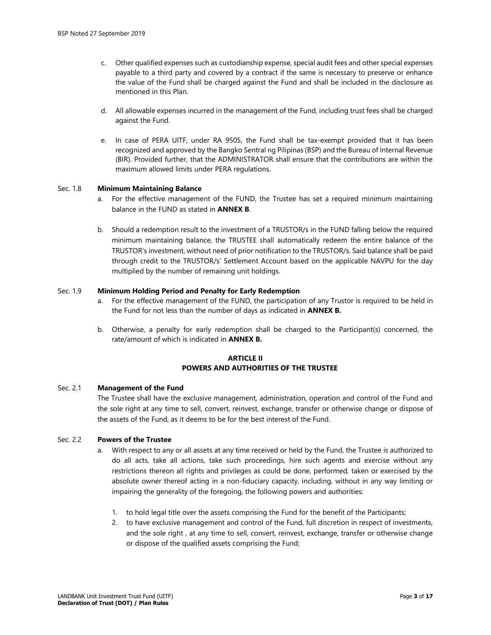- c. Other qualified expenses such as custodianship expense, special audit fees and other special expenses payable to a third party and covered by a contract if the same is necessary to preserve or enhance the value of the Fund shall be charged against the Fund and shall be included in the disclosure as mentioned in this Plan.
- d. All allowable expenses incurred in the management of the Fund, including trust fees shall be charged against the Fund.
- e. In case of PERA UITF, under RA 9505, the Fund shall be tax-exempt provided that it has been recognized and approved by the Bangko Sentral ng Pilipinas (BSP) and the Bureau of Internal Revenue (BIR). Provided further, that the ADMINISTRATOR shall ensure that the contributions are within the maximum allowed limits under PERA regulations.

#### Sec. 1.8 **Minimum Maintaining Balance**

- For the effective management of the FUND, the Trustee has set a required minimum maintaining balance in the FUND as stated in **ANNEX B**.
- b. Should a redemption result to the investment of a TRUSTOR/s in the FUND falling below the required minimum maintaining balance, the TRUSTEE shall automatically redeem the entire balance of the TRUSTOR's investment, without need of prior notification to the TRUSTOR/s. Said balance shall be paid through credit to the TRUSTOR/s' Settlement Account based on the applicable NAVPU for the day multiplied by the number of remaining unit holdings.

## Sec. 1.9 **Minimum Holding Period and Penalty for Early Redemption**

- a. For the effective management of the FUND, the participation of any Trustor is required to be held in the Fund for not less than the number of days as indicated in **ANNEX B.**
- b. Otherwise, a penalty for early redemption shall be charged to the Participant(s) concerned, the rate/amount of which is indicated in **ANNEX B.**

# **ARTICI F II POWERS AND AUTHORITIES OF THE TRUSTEE**

## Sec. 2.1 **Management of the Fund**

The Trustee shall have the exclusive management, administration, operation and control of the Fund and the sole right at any time to sell, convert, reinvest, exchange, transfer or otherwise change or dispose of the assets of the Fund, as it deems to be for the best interest of the Fund.

#### Sec. 2.2 **Powers of the Trustee**

- a. With respect to any or all assets at any time received or held by the Fund, the Trustee is authorized to do all acts, take all actions, take such proceedings, hire such agents and exercise without any restrictions thereon all rights and privileges as could be done, performed, taken or exercised by the absolute owner thereof acting in a non-fiduciary capacity, including, without in any way limiting or impairing the generality of the foregoing, the following powers and authorities:
	- 1. to hold legal title over the assets comprising the Fund for the benefit of the Participants;
	- 2. to have exclusive management and control of the Fund, full discretion in respect of investments, and the sole right , at any time to sell, convert, reinvest, exchange, transfer or otherwise change or dispose of the qualified assets comprising the Fund;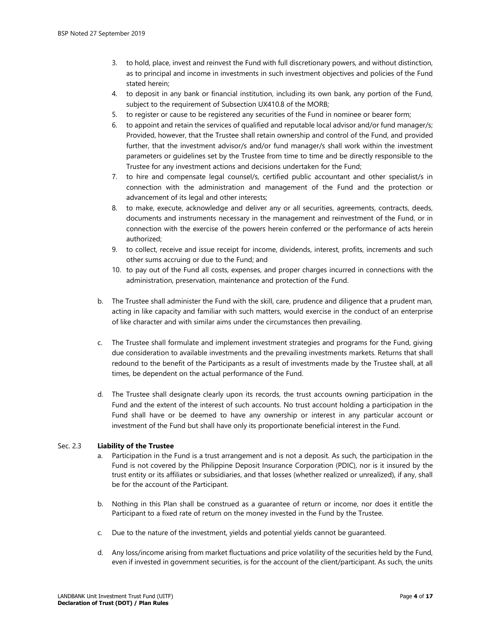- 3. to hold, place, invest and reinvest the Fund with full discretionary powers, and without distinction, as to principal and income in investments in such investment objectives and policies of the Fund stated herein;
- 4. to deposit in any bank or financial institution, including its own bank, any portion of the Fund, subject to the requirement of Subsection UX410.8 of the MORB;
- 5. to register or cause to be registered any securities of the Fund in nominee or bearer form;
- 6. to appoint and retain the services of qualified and reputable local advisor and/or fund manager/s; Provided, however, that the Trustee shall retain ownership and control of the Fund, and provided further, that the investment advisor/s and/or fund manager/s shall work within the investment parameters or guidelines set by the Trustee from time to time and be directly responsible to the Trustee for any investment actions and decisions undertaken for the Fund;
- 7. to hire and compensate legal counsel/s, certified public accountant and other specialist/s in connection with the administration and management of the Fund and the protection or advancement of its legal and other interests;
- 8. to make, execute, acknowledge and deliver any or all securities, agreements, contracts, deeds, documents and instruments necessary in the management and reinvestment of the Fund, or in connection with the exercise of the powers herein conferred or the performance of acts herein authorized;
- 9. to collect, receive and issue receipt for income, dividends, interest, profits, increments and such other sums accruing or due to the Fund; and
- 10. to pay out of the Fund all costs, expenses, and proper charges incurred in connections with the administration, preservation, maintenance and protection of the Fund.
- b. The Trustee shall administer the Fund with the skill, care, prudence and diligence that a prudent man, acting in like capacity and familiar with such matters, would exercise in the conduct of an enterprise of like character and with similar aims under the circumstances then prevailing.
- c. The Trustee shall formulate and implement investment strategies and programs for the Fund, giving due consideration to available investments and the prevailing investments markets. Returns that shall redound to the benefit of the Participants as a result of investments made by the Trustee shall, at all times, be dependent on the actual performance of the Fund.
- d. The Trustee shall designate clearly upon its records, the trust accounts owning participation in the Fund and the extent of the interest of such accounts. No trust account holding a participation in the Fund shall have or be deemed to have any ownership or interest in any particular account or investment of the Fund but shall have only its proportionate beneficial interest in the Fund.

# Sec. 2.3 **Liability of the Trustee**

- a. Participation in the Fund is a trust arrangement and is not a deposit. As such, the participation in the Fund is not covered by the Philippine Deposit Insurance Corporation (PDIC), nor is it insured by the trust entity or its affiliates or subsidiaries, and that losses (whether realized or unrealized), if any, shall be for the account of the Participant.
- b. Nothing in this Plan shall be construed as a guarantee of return or income, nor does it entitle the Participant to a fixed rate of return on the money invested in the Fund by the Trustee.
- c. Due to the nature of the investment, yields and potential yields cannot be guaranteed.
- d. Any loss/income arising from market fluctuations and price volatility of the securities held by the Fund, even if invested in government securities, is for the account of the client/participant. As such, the units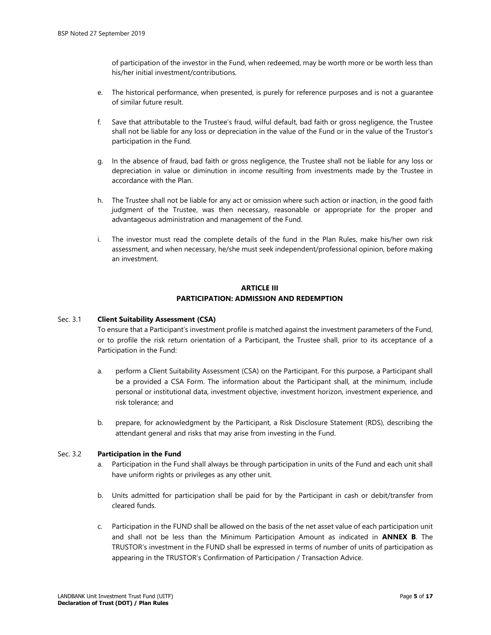of participation of the investor in the Fund, when redeemed, may be worth more or be worth less than his/her initial investment/contributions.

- e. The historical performance, when presented, is purely for reference purposes and is not a guarantee of similar future result.
- f. Save that attributable to the Trustee's fraud, wilful default, bad faith or gross negligence, the Trustee shall not be liable for any loss or depreciation in the value of the Fund or in the value of the Trustor's participation in the Fund.
- g. In the absence of fraud, bad faith or gross negligence, the Trustee shall not be liable for any loss or depreciation in value or diminution in income resulting from investments made by the Trustee in accordance with the Plan.
- h. The Trustee shall not be liable for any act or omission where such action or inaction, in the good faith judgment of the Trustee, was then necessary, reasonable or appropriate for the proper and advantageous administration and management of the Fund.
- i. The investor must read the complete details of the fund in the Plan Rules, make his/her own risk assessment, and when necessary, he/she must seek independent/professional opinion, before making an investment.

# **ARTICLE III PARTICIPATION: ADMISSION AND REDEMPTION**

## Sec. 3.1 **Client Suitability Assessment (CSA)**

To ensure that a Participant's investment profile is matched against the investment parameters of the Fund, or to profile the risk return orientation of a Participant, the Trustee shall, prior to its acceptance of a Participation in the Fund:

- a. perform a Client Suitability Assessment (CSA) on the Participant. For this purpose, a Participant shall be a provided a CSA Form. The information about the Participant shall, at the minimum, include personal or institutional data, investment objective, investment horizon, investment experience, and risk tolerance; and
- b. prepare, for acknowledgment by the Participant, a Risk Disclosure Statement (RDS), describing the attendant general and risks that may arise from investing in the Fund.

### Sec. 3.2 **Participation in the Fund**

- a. Participation in the Fund shall always be through participation in units of the Fund and each unit shall have uniform rights or privileges as any other unit.
- b. Units admitted for participation shall be paid for by the Participant in cash or debit/transfer from cleared funds.
- c. Participation in the FUND shall be allowed on the basis of the net asset value of each participation unit and shall not be less than the Minimum Participation Amount as indicated in **ANNEX B**. The TRUSTOR's investment in the FUND shall be expressed in terms of number of units of participation as appearing in the TRUSTOR's Confirmation of Participation / Transaction Advice.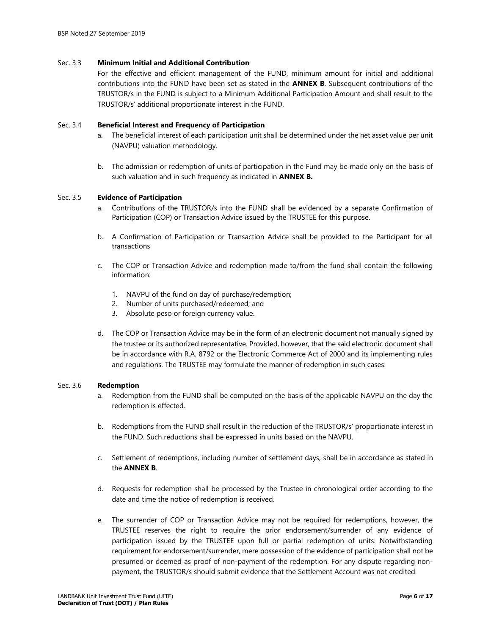## Sec. 3.3 **Minimum Initial and Additional Contribution**

For the effective and efficient management of the FUND, minimum amount for initial and additional contributions into the FUND have been set as stated in the **ANNEX B**. Subsequent contributions of the TRUSTOR/s in the FUND is subject to a Minimum Additional Participation Amount and shall result to the TRUSTOR/s' additional proportionate interest in the FUND.

## Sec. 3.4 **Beneficial Interest and Frequency of Participation**

- The beneficial interest of each participation unit shall be determined under the net asset value per unit (NAVPU) valuation methodology.
- b. The admission or redemption of units of participation in the Fund may be made only on the basis of such valuation and in such frequency as indicated in **ANNEX B.**

#### Sec. 3.5 **Evidence of Participation**

- a. Contributions of the TRUSTOR/s into the FUND shall be evidenced by a separate Confirmation of Participation (COP) or Transaction Advice issued by the TRUSTEE for this purpose.
- b. A Confirmation of Participation or Transaction Advice shall be provided to the Participant for all transactions
- c. The COP or Transaction Advice and redemption made to/from the fund shall contain the following information:
	- 1. NAVPU of the fund on day of purchase/redemption;
	- 2. Number of units purchased/redeemed; and
	- 3. Absolute peso or foreign currency value.
- d. The COP or Transaction Advice may be in the form of an electronic document not manually signed by the trustee or its authorized representative. Provided, however, that the said electronic document shall be in accordance with R.A. 8792 or the Electronic Commerce Act of 2000 and its implementing rules and regulations. The TRUSTEE may formulate the manner of redemption in such cases.

#### Sec. 3.6 **Redemption**

- a. Redemption from the FUND shall be computed on the basis of the applicable NAVPU on the day the redemption is effected.
- b. Redemptions from the FUND shall result in the reduction of the TRUSTOR/s' proportionate interest in the FUND. Such reductions shall be expressed in units based on the NAVPU.
- c. Settlement of redemptions, including number of settlement days, shall be in accordance as stated in the **ANNEX B**.
- d. Requests for redemption shall be processed by the Trustee in chronological order according to the date and time the notice of redemption is received.
- e. The surrender of COP or Transaction Advice may not be required for redemptions, however, the TRUSTEE reserves the right to require the prior endorsement/surrender of any evidence of participation issued by the TRUSTEE upon full or partial redemption of units. Notwithstanding requirement for endorsement/surrender, mere possession of the evidence of participation shall not be presumed or deemed as proof of non-payment of the redemption. For any dispute regarding nonpayment, the TRUSTOR/s should submit evidence that the Settlement Account was not credited.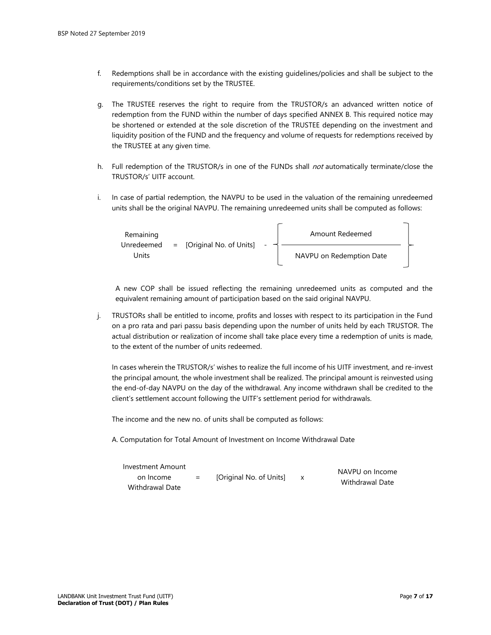- f. Redemptions shall be in accordance with the existing guidelines/policies and shall be subject to the requirements/conditions set by the TRUSTEE.
- g. The TRUSTEE reserves the right to require from the TRUSTOR/s an advanced written notice of redemption from the FUND within the number of days specified ANNEX B. This required notice may be shortened or extended at the sole discretion of the TRUSTEE depending on the investment and liquidity position of the FUND and the frequency and volume of requests for redemptions received by the TRUSTEE at any given time.
- h. Full redemption of the TRUSTOR/s in one of the FUNDs shall not automatically terminate/close the TRUSTOR/s' UITF account.
- i. In case of partial redemption, the NAVPU to be used in the valuation of the remaining unredeemed units shall be the original NAVPU. The remaining unredeemed units shall be computed as follows:



A new COP shall be issued reflecting the remaining unredeemed units as computed and the equivalent remaining amount of participation based on the said original NAVPU.

j. TRUSTORs shall be entitled to income, profits and losses with respect to its participation in the Fund on a pro rata and pari passu basis depending upon the number of units held by each TRUSTOR. The actual distribution or realization of income shall take place every time a redemption of units is made, to the extent of the number of units redeemed.

In cases wherein the TRUSTOR/s' wishes to realize the full income of his UITF investment, and re-invest the principal amount, the whole investment shall be realized. The principal amount is reinvested using the end-of-day NAVPU on the day of the withdrawal. Any income withdrawn shall be credited to the client's settlement account following the UITF's settlement period for withdrawals.

The income and the new no. of units shall be computed as follows:

A. Computation for Total Amount of Investment on Income Withdrawal Date

| Investment Amount |     |                         | NAVPU on Income |
|-------------------|-----|-------------------------|-----------------|
| on Income         | $=$ | [Original No. of Units] | Withdrawal Date |
| Withdrawal Date   |     |                         |                 |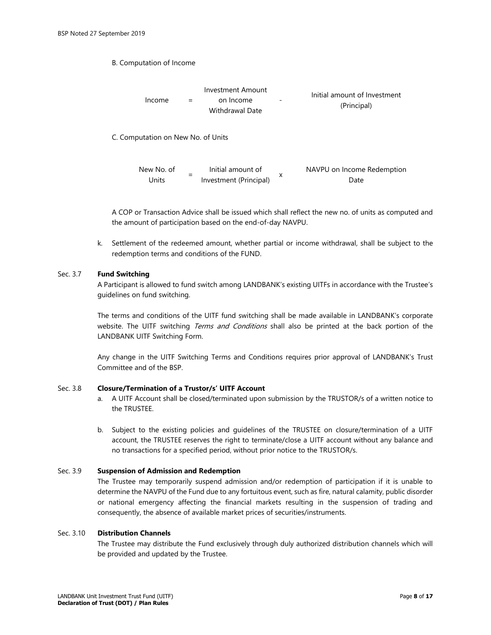B. Computation of Income



A COP or Transaction Advice shall be issued which shall reflect the new no. of units as computed and the amount of participation based on the end-of-day NAVPU.

k. Settlement of the redeemed amount, whether partial or income withdrawal, shall be subject to the redemption terms and conditions of the FUND.

# Sec. 3.7 **Fund Switching**

A Participant is allowed to fund switch among LANDBANK's existing UITFs in accordance with the Trustee's guidelines on fund switching.

The terms and conditions of the UITF fund switching shall be made available in LANDBANK's corporate website. The UITF switching Terms and Conditions shall also be printed at the back portion of the LANDBANK UITF Switching Form.

Any change in the UITF Switching Terms and Conditions requires prior approval of LANDBANK's Trust Committee and of the BSP.

## Sec. 3.8 **Closure/Termination of a Trustor/s' UITF Account**

- a. A UITF Account shall be closed/terminated upon submission by the TRUSTOR/s of a written notice to the TRUSTEE.
- b. Subject to the existing policies and guidelines of the TRUSTEE on closure/termination of a UITF account, the TRUSTEE reserves the right to terminate/close a UITF account without any balance and no transactions for a specified period, without prior notice to the TRUSTOR/s.

# Sec. 3.9 **Suspension of Admission and Redemption**

The Trustee may temporarily suspend admission and/or redemption of participation if it is unable to determine the NAVPU of the Fund due to any fortuitous event, such as fire, natural calamity, public disorder or national emergency affecting the financial markets resulting in the suspension of trading and consequently, the absence of available market prices of securities/instruments.

## Sec. 3.10 **Distribution Channels**

The Trustee may distribute the Fund exclusively through duly authorized distribution channels which will be provided and updated by the Trustee.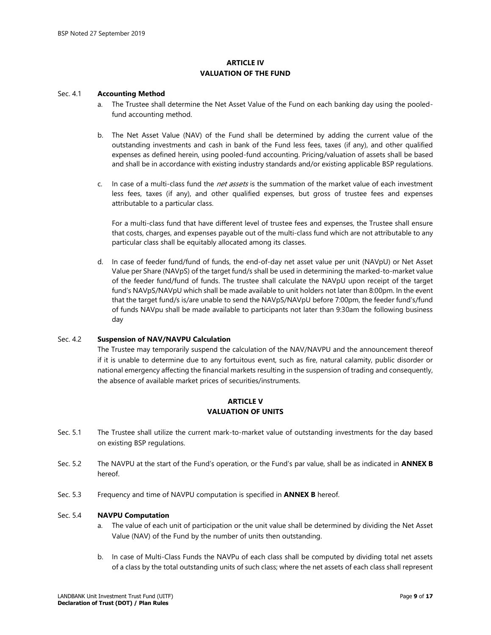# **ARTICLE IV VALUATION OF THE FUND**

### Sec. 4.1 **Accounting Method**

- a. The Trustee shall determine the Net Asset Value of the Fund on each banking day using the pooledfund accounting method.
- b. The Net Asset Value (NAV) of the Fund shall be determined by adding the current value of the outstanding investments and cash in bank of the Fund less fees, taxes (if any), and other qualified expenses as defined herein, using pooled-fund accounting. Pricing/valuation of assets shall be based and shall be in accordance with existing industry standards and/or existing applicable BSP regulations.
- c. In case of a multi-class fund the *net assets* is the summation of the market value of each investment less fees, taxes (if any), and other qualified expenses, but gross of trustee fees and expenses attributable to a particular class.

For a multi-class fund that have different level of trustee fees and expenses, the Trustee shall ensure that costs, charges, and expenses payable out of the multi-class fund which are not attributable to any particular class shall be equitably allocated among its classes.

d. In case of feeder fund/fund of funds, the end-of-day net asset value per unit (NAVpU) or Net Asset Value per Share (NAVpS) of the target fund/s shall be used in determining the marked-to-market value of the feeder fund/fund of funds. The trustee shall calculate the NAVpU upon receipt of the target fund's NAVpS/NAVpU which shall be made available to unit holders not later than 8:00pm. In the event that the target fund/s is/are unable to send the NAVpS/NAVpU before 7:00pm, the feeder fund's/fund of funds NAVpu shall be made available to participants not later than 9:30am the following business day

## Sec. 4.2 **Suspension of NAV/NAVPU Calculation**

The Trustee may temporarily suspend the calculation of the NAV/NAVPU and the announcement thereof if it is unable to determine due to any fortuitous event, such as fire, natural calamity, public disorder or national emergency affecting the financial markets resulting in the suspension of trading and consequently, the absence of available market prices of securities/instruments.

# **ARTICLE V VALUATION OF UNITS**

- Sec. 5.1 The Trustee shall utilize the current mark-to-market value of outstanding investments for the day based on existing BSP regulations.
- Sec. 5.2 The NAVPU at the start of the Fund's operation, or the Fund's par value, shall be as indicated in **ANNEX B** hereof.
- Sec. 5.3 Frequency and time of NAVPU computation is specified in **ANNEX B** hereof.

## Sec. 5.4 **NAVPU Computation**

- a. The value of each unit of participation or the unit value shall be determined by dividing the Net Asset Value (NAV) of the Fund by the number of units then outstanding.
- b. In case of Multi-Class Funds the NAVPu of each class shall be computed by dividing total net assets of a class by the total outstanding units of such class; where the net assets of each class shall represent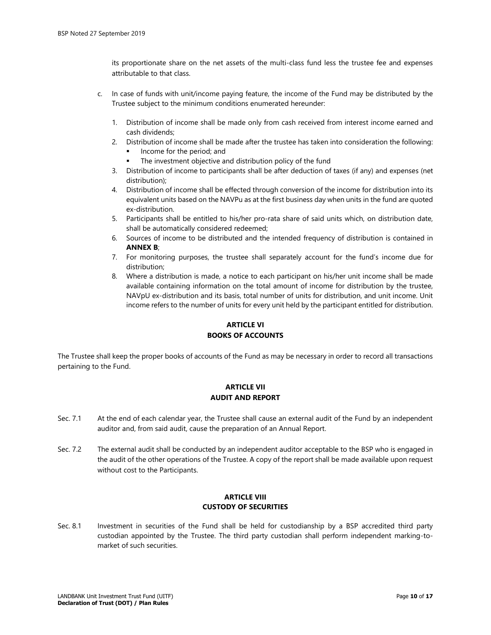its proportionate share on the net assets of the multi-class fund less the trustee fee and expenses attributable to that class.

- c. In case of funds with unit/income paying feature, the income of the Fund may be distributed by the Trustee subject to the minimum conditions enumerated hereunder:
	- 1. Distribution of income shall be made only from cash received from interest income earned and cash dividends;
	- 2. Distribution of income shall be made after the trustee has taken into consideration the following:
		- Income for the period; and
		- The investment objective and distribution policy of the fund
	- 3. Distribution of income to participants shall be after deduction of taxes (if any) and expenses (net distribution);
	- 4. Distribution of income shall be effected through conversion of the income for distribution into its equivalent units based on the NAVPu as at the first business day when units in the fund are quoted ex-distribution.
	- 5. Participants shall be entitled to his/her pro-rata share of said units which, on distribution date, shall be automatically considered redeemed;
	- 6. Sources of income to be distributed and the intended frequency of distribution is contained in **ANNEX B**;
	- 7. For monitoring purposes, the trustee shall separately account for the fund's income due for distribution;
	- 8. Where a distribution is made, a notice to each participant on his/her unit income shall be made available containing information on the total amount of income for distribution by the trustee, NAVpU ex-distribution and its basis, total number of units for distribution, and unit income. Unit income refers to the number of units for every unit held by the participant entitled for distribution.

# **ARTICLE VI BOOKS OF ACCOUNTS**

The Trustee shall keep the proper books of accounts of the Fund as may be necessary in order to record all transactions pertaining to the Fund.

# **ARTICLE VII AUDIT AND REPORT**

- Sec. 7.1 At the end of each calendar year, the Trustee shall cause an external audit of the Fund by an independent auditor and, from said audit, cause the preparation of an Annual Report.
- Sec. 7.2 The external audit shall be conducted by an independent auditor acceptable to the BSP who is engaged in the audit of the other operations of the Trustee. A copy of the report shall be made available upon request without cost to the Participants.

## **ARTICLE VIII CUSTODY OF SECURITIES**

Sec. 8.1 Investment in securities of the Fund shall be held for custodianship by a BSP accredited third party custodian appointed by the Trustee. The third party custodian shall perform independent marking-tomarket of such securities.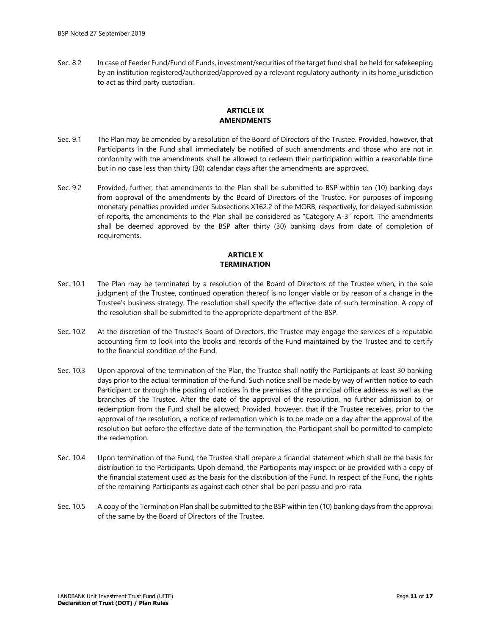Sec. 8.2 In case of Feeder Fund/Fund of Funds, investment/securities of the target fund shall be held for safekeeping by an institution registered/authorized/approved by a relevant regulatory authority in its home jurisdiction to act as third party custodian.

## **ARTICLE IX AMENDMENTS**

- Sec. 9.1 The Plan may be amended by a resolution of the Board of Directors of the Trustee. Provided, however, that Participants in the Fund shall immediately be notified of such amendments and those who are not in conformity with the amendments shall be allowed to redeem their participation within a reasonable time but in no case less than thirty (30) calendar days after the amendments are approved.
- Sec. 9.2 Provided, further, that amendments to the Plan shall be submitted to BSP within ten (10) banking days from approval of the amendments by the Board of Directors of the Trustee. For purposes of imposing monetary penalties provided under Subsections X162.2 of the MORB, respectively, for delayed submission of reports, the amendments to the Plan shall be considered as "Category A-3" report. The amendments shall be deemed approved by the BSP after thirty (30) banking days from date of completion of requirements.

# **ARTICLE X TERMINATION**

- Sec. 10.1 The Plan may be terminated by a resolution of the Board of Directors of the Trustee when, in the sole judgment of the Trustee, continued operation thereof is no longer viable or by reason of a change in the Trustee's business strategy. The resolution shall specify the effective date of such termination. A copy of the resolution shall be submitted to the appropriate department of the BSP.
- Sec. 10.2 At the discretion of the Trustee's Board of Directors, the Trustee may engage the services of a reputable accounting firm to look into the books and records of the Fund maintained by the Trustee and to certify to the financial condition of the Fund.
- Sec. 10.3 Upon approval of the termination of the Plan, the Trustee shall notify the Participants at least 30 banking days prior to the actual termination of the fund. Such notice shall be made by way of written notice to each Participant or through the posting of notices in the premises of the principal office address as well as the branches of the Trustee. After the date of the approval of the resolution, no further admission to, or redemption from the Fund shall be allowed; Provided, however, that if the Trustee receives, prior to the approval of the resolution, a notice of redemption which is to be made on a day after the approval of the resolution but before the effective date of the termination, the Participant shall be permitted to complete the redemption.
- Sec. 10.4 Upon termination of the Fund, the Trustee shall prepare a financial statement which shall be the basis for distribution to the Participants. Upon demand, the Participants may inspect or be provided with a copy of the financial statement used as the basis for the distribution of the Fund. In respect of the Fund, the rights of the remaining Participants as against each other shall be pari passu and pro-rata.
- Sec. 10.5 A copy of the Termination Plan shall be submitted to the BSP within ten (10) banking days from the approval of the same by the Board of Directors of the Trustee.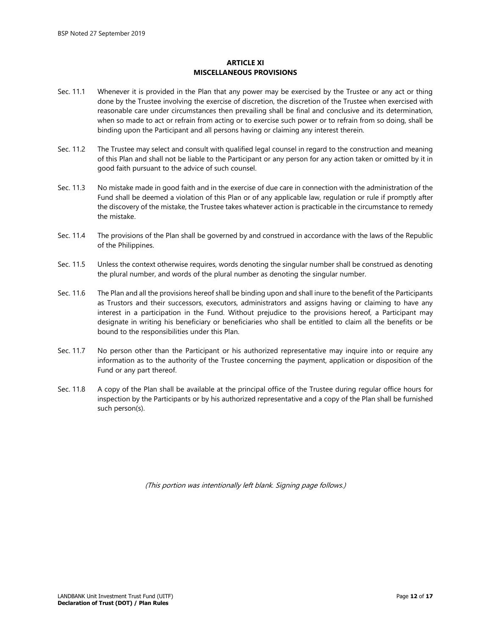## **ARTICLE XI MISCELLANEOUS PROVISIONS**

- Sec. 11.1 Whenever it is provided in the Plan that any power may be exercised by the Trustee or any act or thing done by the Trustee involving the exercise of discretion, the discretion of the Trustee when exercised with reasonable care under circumstances then prevailing shall be final and conclusive and its determination, when so made to act or refrain from acting or to exercise such power or to refrain from so doing, shall be binding upon the Participant and all persons having or claiming any interest therein.
- Sec. 11.2 The Trustee may select and consult with qualified legal counsel in regard to the construction and meaning of this Plan and shall not be liable to the Participant or any person for any action taken or omitted by it in good faith pursuant to the advice of such counsel.
- Sec. 11.3 No mistake made in good faith and in the exercise of due care in connection with the administration of the Fund shall be deemed a violation of this Plan or of any applicable law, regulation or rule if promptly after the discovery of the mistake, the Trustee takes whatever action is practicable in the circumstance to remedy the mistake.
- Sec. 11.4 The provisions of the Plan shall be governed by and construed in accordance with the laws of the Republic of the Philippines.
- Sec. 11.5 Unless the context otherwise requires, words denoting the singular number shall be construed as denoting the plural number, and words of the plural number as denoting the singular number.
- Sec. 11.6 The Plan and all the provisions hereof shall be binding upon and shall inure to the benefit of the Participants as Trustors and their successors, executors, administrators and assigns having or claiming to have any interest in a participation in the Fund. Without prejudice to the provisions hereof, a Participant may designate in writing his beneficiary or beneficiaries who shall be entitled to claim all the benefits or be bound to the responsibilities under this Plan.
- Sec. 11.7 No person other than the Participant or his authorized representative may inquire into or require any information as to the authority of the Trustee concerning the payment, application or disposition of the Fund or any part thereof.
- Sec. 11.8 A copy of the Plan shall be available at the principal office of the Trustee during regular office hours for inspection by the Participants or by his authorized representative and a copy of the Plan shall be furnished such person(s).

(This portion was intentionally left blank. Signing page follows.)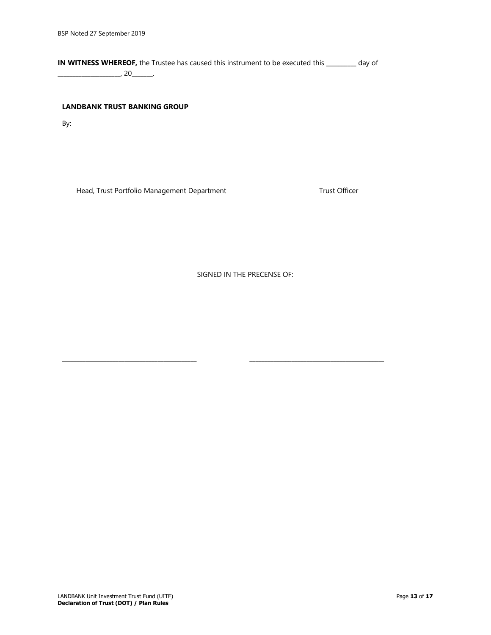**IN WITNESS WHEREOF,** the Trustee has caused this instrument to be executed this \_\_\_\_\_\_\_\_\_\_ day of \_\_\_\_\_\_\_\_\_\_\_\_\_\_\_\_\_\_\_\_\_, 20\_\_\_\_\_\_\_.

## **LANDBANK TRUST BANKING GROUP**

By:

Head, Trust Portfolio Management Department Trust Officer

SIGNED IN THE PRECENSE OF:

\_\_\_\_\_\_\_\_\_\_\_\_\_\_\_\_\_\_\_\_\_\_\_\_\_\_\_\_\_\_\_\_\_\_\_\_\_\_\_\_\_\_\_\_\_ \_\_\_\_\_\_\_\_\_\_\_\_\_\_\_\_\_\_\_\_\_\_\_\_\_\_\_\_\_\_\_\_\_\_\_\_\_\_\_\_\_\_\_\_\_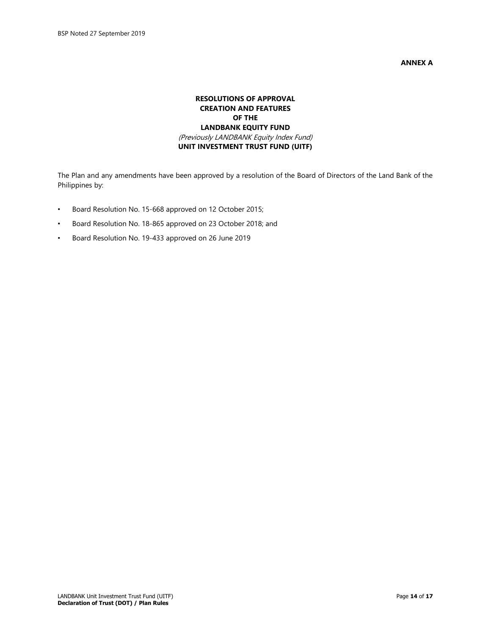**ANNEX A**

# **RESOLUTIONS OF APPROVAL CREATION AND FEATURES OF THE LANDBANK EQUITY FUND** (Previously LANDBANK Equity Index Fund) **UNIT INVESTMENT TRUST FUND (UITF)**

The Plan and any amendments have been approved by a resolution of the Board of Directors of the Land Bank of the Philippines by:

- Board Resolution No. 15-668 approved on 12 October 2015;
- Board Resolution No. 18-865 approved on 23 October 2018; and
- Board Resolution No. 19-433 approved on 26 June 2019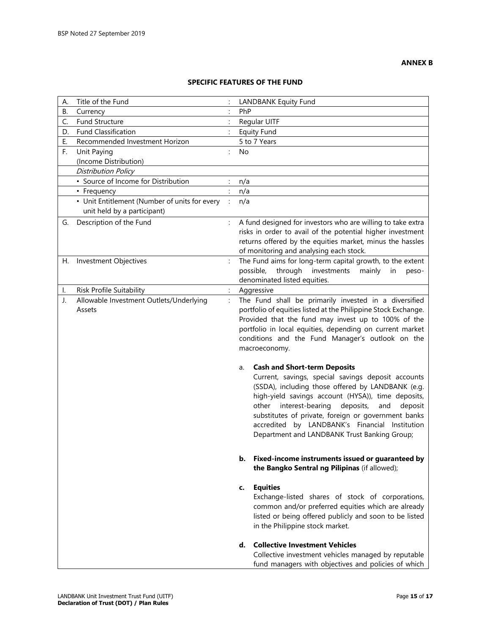# **SPECIFIC FEATURES OF THE FUND**

| А. | Title of the Fund                             |                      | <b>LANDBANK Equity Fund</b>                                                                |
|----|-----------------------------------------------|----------------------|--------------------------------------------------------------------------------------------|
| В. | Currency                                      | $\ddot{\cdot}$       | PhP                                                                                        |
| C. | Fund Structure                                | $\ddot{\cdot}$       | Regular UITF                                                                               |
| D. | <b>Fund Classification</b>                    |                      | <b>Equity Fund</b>                                                                         |
| Е. | Recommended Investment Horizon                |                      | 5 to 7 Years                                                                               |
| F. | Unit Paying                                   | $\ddot{\phantom{a}}$ | No.                                                                                        |
|    | (Income Distribution)                         |                      |                                                                                            |
|    | Distribution Policy                           |                      |                                                                                            |
|    | • Source of Income for Distribution           |                      | n/a                                                                                        |
|    | • Frequency                                   | $\ddot{\cdot}$       | n/a                                                                                        |
|    | • Unit Entitlement (Number of units for every |                      | n/a                                                                                        |
|    | unit held by a participant)                   |                      |                                                                                            |
| G. | Description of the Fund                       |                      | A fund designed for investors who are willing to take extra                                |
|    |                                               |                      | risks in order to avail of the potential higher investment                                 |
|    |                                               |                      | returns offered by the equities market, minus the hassles                                  |
|    |                                               |                      | of monitoring and analysing each stock.                                                    |
| Н. | Investment Objectives                         | $\ddot{\cdot}$       | The Fund aims for long-term capital growth, to the extent                                  |
|    |                                               |                      | investments<br>possible,<br>through<br>mainly<br>in<br>peso-                               |
|    |                                               |                      | denominated listed equities.                                                               |
| Ι. | Risk Profile Suitability                      | $\ddot{\cdot}$       | Aggressive                                                                                 |
| J. | Allowable Investment Outlets/Underlying       | $\ddot{\cdot}$       | The Fund shall be primarily invested in a diversified                                      |
|    | Assets                                        |                      | portfolio of equities listed at the Philippine Stock Exchange.                             |
|    |                                               |                      | Provided that the fund may invest up to 100% of the                                        |
|    |                                               |                      | portfolio in local equities, depending on current market                                   |
|    |                                               |                      | conditions and the Fund Manager's outlook on the                                           |
|    |                                               |                      | macroeconomy.                                                                              |
|    |                                               |                      |                                                                                            |
|    |                                               |                      | <b>Cash and Short-term Deposits</b><br>a.                                                  |
|    |                                               |                      | Current, savings, special savings deposit accounts                                         |
|    |                                               |                      | (SSDA), including those offered by LANDBANK (e.g.                                          |
|    |                                               |                      | high-yield savings account (HYSA)), time deposits,<br>interest-bearing<br>deposit<br>other |
|    |                                               |                      | deposits,<br>and<br>substitutes of private, foreign or government banks                    |
|    |                                               |                      | accredited by LANDBANK's Financial Institution                                             |
|    |                                               |                      | Department and LANDBANK Trust Banking Group;                                               |
|    |                                               |                      |                                                                                            |
|    |                                               |                      |                                                                                            |
|    |                                               |                      | Fixed-income instruments issued or guaranteed by<br>b.                                     |
|    |                                               |                      | the Bangko Sentral ng Pilipinas (if allowed);                                              |
|    |                                               |                      |                                                                                            |
|    |                                               |                      | <b>Equities</b><br>c.                                                                      |
|    |                                               |                      | Exchange-listed shares of stock of corporations,                                           |
|    |                                               |                      | common and/or preferred equities which are already                                         |
|    |                                               |                      | listed or being offered publicly and soon to be listed                                     |
|    |                                               |                      | in the Philippine stock market.                                                            |
|    |                                               |                      | d. Collective Investment Vehicles                                                          |
|    |                                               |                      | Collective investment vehicles managed by reputable                                        |
|    |                                               |                      | fund managers with objectives and policies of which                                        |
|    |                                               |                      |                                                                                            |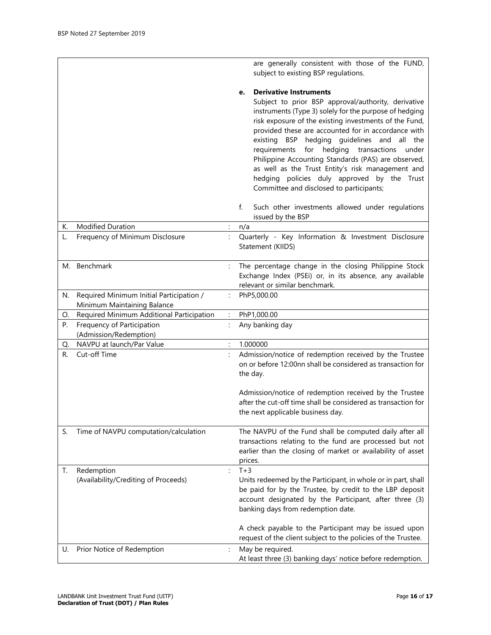|    |                                                                         |                | are generally consistent with those of the FUND,<br>subject to existing BSP regulations.                                                                                                                                                                                                                                                                                                                                                                                                                                                                                               |
|----|-------------------------------------------------------------------------|----------------|----------------------------------------------------------------------------------------------------------------------------------------------------------------------------------------------------------------------------------------------------------------------------------------------------------------------------------------------------------------------------------------------------------------------------------------------------------------------------------------------------------------------------------------------------------------------------------------|
|    |                                                                         |                | <b>Derivative Instruments</b><br>e.<br>Subject to prior BSP approval/authority, derivative<br>instruments (Type 3) solely for the purpose of hedging<br>risk exposure of the existing investments of the Fund,<br>provided these are accounted for in accordance with<br>BSP hedging guidelines and<br>existing<br>all the<br>for hedging transactions<br>requirements<br>under<br>Philippine Accounting Standards (PAS) are observed,<br>as well as the Trust Entity's risk management and<br>hedging policies duly approved by the Trust<br>Committee and disclosed to participants; |
|    |                                                                         |                | Such other investments allowed under regulations<br>f.<br>issued by the BSP                                                                                                                                                                                                                                                                                                                                                                                                                                                                                                            |
| К. | Modified Duration                                                       | $\ddot{\cdot}$ | n/a                                                                                                                                                                                                                                                                                                                                                                                                                                                                                                                                                                                    |
| L. | Frequency of Minimum Disclosure                                         | $\ddot{\cdot}$ | Quarterly - Key Information & Investment Disclosure<br>Statement (KIIDS)                                                                                                                                                                                                                                                                                                                                                                                                                                                                                                               |
|    | M. Benchmark                                                            |                | The percentage change in the closing Philippine Stock<br>Exchange Index (PSEi) or, in its absence, any available<br>relevant or similar benchmark.                                                                                                                                                                                                                                                                                                                                                                                                                                     |
| N. | Required Minimum Initial Participation /<br>Minimum Maintaining Balance |                | PhP5,000.00                                                                                                                                                                                                                                                                                                                                                                                                                                                                                                                                                                            |
| О. | Required Minimum Additional Participation                               |                | PhP1,000.00                                                                                                                                                                                                                                                                                                                                                                                                                                                                                                                                                                            |
| P. | Frequency of Participation                                              |                | Any banking day                                                                                                                                                                                                                                                                                                                                                                                                                                                                                                                                                                        |
|    | (Admission/Redemption)                                                  |                |                                                                                                                                                                                                                                                                                                                                                                                                                                                                                                                                                                                        |
| Q. | NAVPU at launch/Par Value                                               |                | 1.000000                                                                                                                                                                                                                                                                                                                                                                                                                                                                                                                                                                               |
| R. | Cut-off Time                                                            |                | Admission/notice of redemption received by the Trustee<br>on or before 12:00nn shall be considered as transaction for<br>the day.                                                                                                                                                                                                                                                                                                                                                                                                                                                      |
|    |                                                                         |                | Admission/notice of redemption received by the Trustee<br>after the cut-off time shall be considered as transaction for<br>the next applicable business day.                                                                                                                                                                                                                                                                                                                                                                                                                           |
| S. | Time of NAVPU computation/calculation                                   |                | The NAVPU of the Fund shall be computed daily after all<br>transactions relating to the fund are processed but not<br>earlier than the closing of market or availability of asset<br>prices.                                                                                                                                                                                                                                                                                                                                                                                           |
| Т. | Redemption<br>(Availability/Crediting of Proceeds)                      | $\ddot{\cdot}$ | $T+3$<br>Units redeemed by the Participant, in whole or in part, shall<br>be paid for by the Trustee, by credit to the LBP deposit<br>account designated by the Participant, after three (3)<br>banking days from redemption date.                                                                                                                                                                                                                                                                                                                                                     |
|    |                                                                         |                |                                                                                                                                                                                                                                                                                                                                                                                                                                                                                                                                                                                        |
| U. | Prior Notice of Redemption                                              | $\ddot{\cdot}$ | A check payable to the Participant may be issued upon<br>request of the client subject to the policies of the Trustee.<br>May be required.                                                                                                                                                                                                                                                                                                                                                                                                                                             |